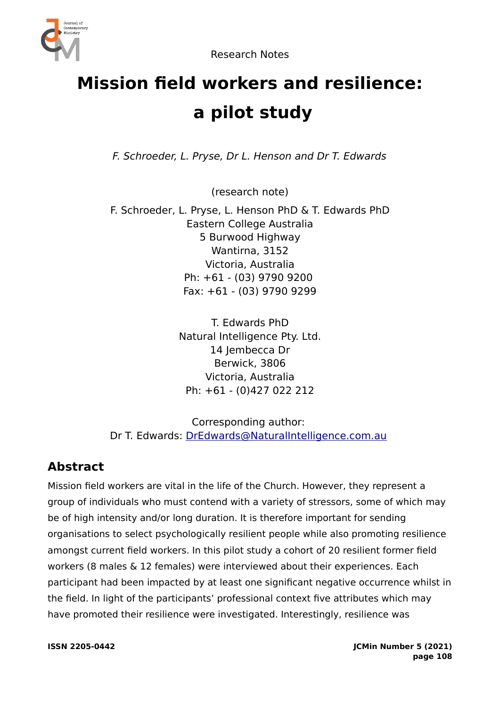

# **Mission field workers and resilience: a pilot study**

F. Schroeder, L. Pryse, Dr L. Henson and Dr T. Edwards

(research note)

F. Schroeder, L. Pryse, L. Henson PhD & T. Edwards PhD Eastern College Australia 5 Burwood Highway Wantirna, 3152 Victoria, Australia Ph: +61 - (03) 9790 9200 Fax: +61 - (03) 9790 9299

> T. Edwards PhD Natural Intelligence Pty. Ltd. 14 Iembecca Dr Berwick, 3806 Victoria, Australia Ph: +61 - (0)427 022 212

Corresponding author: Dr T. Edwards: [DrEdwards@NaturalIntelligence.com.au](mailto:DrEdwards@NaturalIntelligence.com.au)

# **Abstract**

Mission field workers are vital in the life of the Church. However, they represent a group of individuals who must contend with a variety of stressors, some of which may be of high intensity and/or long duration. It is therefore important for sending organisations to select psychologically resilient people while also promoting resilience amongst current field workers. In this pilot study a cohort of 20 resilient former field workers (8 males & 12 females) were interviewed about their experiences. Each participant had been impacted by at least one significant negative occurrence whilst in the field. In light of the participants' professional context five attributes which may have promoted their resilience were investigated. Interestingly, resilience was

**ISSN 2205-0442 JCMin Number 5 (2021) page 108**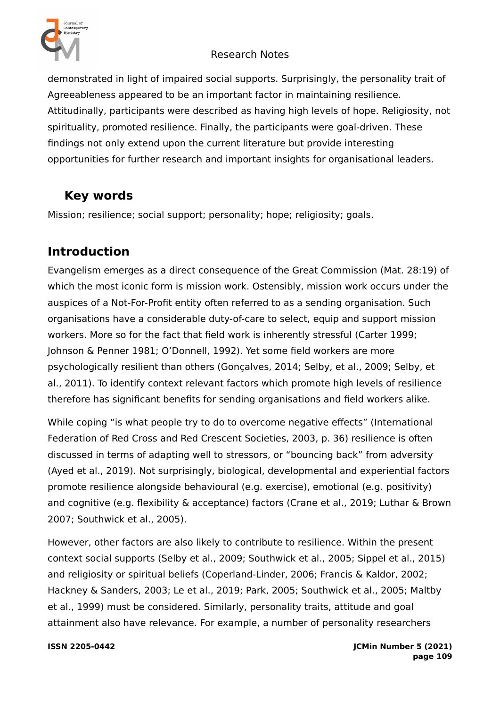

demonstrated in light of impaired social supports. Surprisingly, the personality trait of Agreeableness appeared to be an important factor in maintaining resilience. Attitudinally, participants were described as having high levels of hope. Religiosity, not spirituality, promoted resilience. Finally, the participants were goal-driven. These findings not only extend upon the current literature but provide interesting opportunities for further research and important insights for organisational leaders.

# **Key words**

Mission; resilience; social support; personality; hope; religiosity; goals.

# **Introduction**

Evangelism emerges as a direct consequence of the Great Commission (Mat. 28:19) of which the most iconic form is mission work. Ostensibly, mission work occurs under the auspices of a Not-For-Profit entity often referred to as a sending organisation. Such organisations have a considerable duty-of-care to select, equip and support mission workers. More so for the fact that field work is inherently stressful (Carter 1999; Johnson & Penner 1981; O'Donnell, 1992). Yet some field workers are more psychologically resilient than others (Gonçalves, 2014; Selby, et al., 2009; Selby, et al., 2011). To identify context relevant factors which promote high levels of resilience therefore has significant benefits for sending organisations and field workers alike.

While coping "is what people try to do to overcome negative effects" (International Federation of Red Cross and Red Crescent Societies, 2003, p. 36) resilience is often discussed in terms of adapting well to stressors, or "bouncing back" from adversity (Ayed et al., 2019). Not surprisingly, biological, developmental and experiential factors promote resilience alongside behavioural (e.g. exercise), emotional (e.g. positivity) and cognitive (e.g. flexibility & acceptance) factors (Crane et al., 2019; Luthar & Brown 2007; Southwick et al., 2005).

However, other factors are also likely to contribute to resilience. Within the present context social supports (Selby et al., 2009; Southwick et al., 2005; Sippel et al., 2015) and religiosity or spiritual beliefs (Coperland-Linder, 2006; Francis & Kaldor, 2002; Hackney & Sanders, 2003; Le et al., 2019; Park, 2005; Southwick et al., 2005; Maltby et al., 1999) must be considered. Similarly, personality traits, attitude and goal attainment also have relevance. For example, a number of personality researchers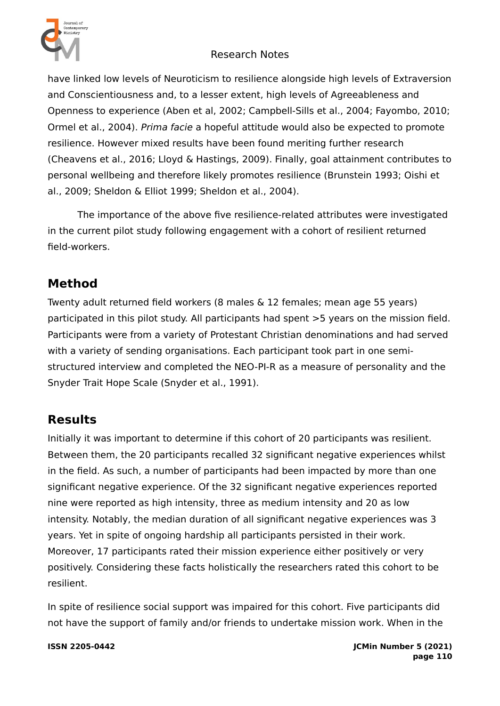

have linked low levels of Neuroticism to resilience alongside high levels of Extraversion and Conscientiousness and, to a lesser extent, high levels of Agreeableness and Openness to experience (Aben et al, 2002; Campbell-Sills et al., 2004; Fayombo, 2010; Ormel et al., 2004). Prima facie a hopeful attitude would also be expected to promote resilience. However mixed results have been found meriting further research (Cheavens et al., 2016; Lloyd & Hastings, 2009). Finally, goal attainment contributes to personal wellbeing and therefore likely promotes resilience (Brunstein 1993; Oishi et al., 2009; Sheldon & Elliot 1999; Sheldon et al., 2004).

The importance of the above five resilience-related attributes were investigated in the current pilot study following engagement with a cohort of resilient returned field-workers.

# **Method**

Twenty adult returned field workers (8 males & 12 females; mean age 55 years) participated in this pilot study. All participants had spent >5 years on the mission field. Participants were from a variety of Protestant Christian denominations and had served with a variety of sending organisations. Each participant took part in one semistructured interview and completed the NEO-PI-R as a measure of personality and the Snyder Trait Hope Scale (Snyder et al., 1991).

# **Results**

Initially it was important to determine if this cohort of 20 participants was resilient. Between them, the 20 participants recalled 32 significant negative experiences whilst in the field. As such, a number of participants had been impacted by more than one significant negative experience. Of the 32 significant negative experiences reported nine were reported as high intensity, three as medium intensity and 20 as low intensity. Notably, the median duration of all significant negative experiences was 3 years. Yet in spite of ongoing hardship all participants persisted in their work. Moreover, 17 participants rated their mission experience either positively or very positively. Considering these facts holistically the researchers rated this cohort to be resilient.

In spite of resilience social support was impaired for this cohort. Five participants did not have the support of family and/or friends to undertake mission work. When in the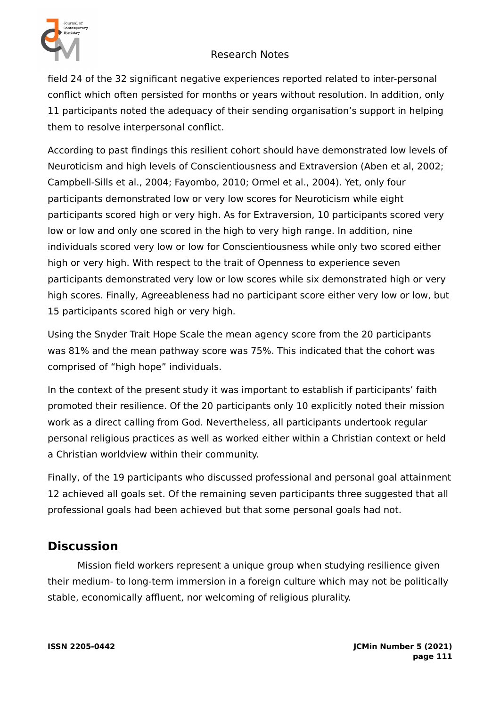

field 24 of the 32 significant negative experiences reported related to inter-personal conflict which often persisted for months or years without resolution. In addition, only 11 participants noted the adequacy of their sending organisation's support in helping them to resolve interpersonal conflict.

According to past findings this resilient cohort should have demonstrated low levels of Neuroticism and high levels of Conscientiousness and Extraversion (Aben et al, 2002; Campbell-Sills et al., 2004; Fayombo, 2010; Ormel et al., 2004). Yet, only four participants demonstrated low or very low scores for Neuroticism while eight participants scored high or very high. As for Extraversion, 10 participants scored very low or low and only one scored in the high to very high range. In addition, nine individuals scored very low or low for Conscientiousness while only two scored either high or very high. With respect to the trait of Openness to experience seven participants demonstrated very low or low scores while six demonstrated high or very high scores. Finally, Agreeableness had no participant score either very low or low, but 15 participants scored high or very high.

Using the Snyder Trait Hope Scale the mean agency score from the 20 participants was 81% and the mean pathway score was 75%. This indicated that the cohort was comprised of "high hope" individuals.

In the context of the present study it was important to establish if participants' faith promoted their resilience. Of the 20 participants only 10 explicitly noted their mission work as a direct calling from God. Nevertheless, all participants undertook regular personal religious practices as well as worked either within a Christian context or held a Christian worldview within their community.

Finally, of the 19 participants who discussed professional and personal goal attainment 12 achieved all goals set. Of the remaining seven participants three suggested that all professional goals had been achieved but that some personal goals had not.

## **Discussion**

Mission field workers represent a unique group when studying resilience given their medium- to long-term immersion in a foreign culture which may not be politically stable, economically affluent, nor welcoming of religious plurality.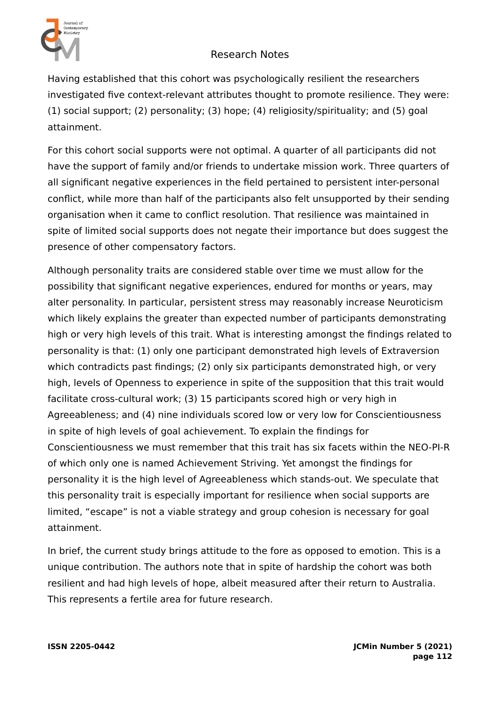

Having established that this cohort was psychologically resilient the researchers investigated five context-relevant attributes thought to promote resilience. They were: (1) social support; (2) personality; (3) hope; (4) religiosity/spirituality; and (5) goal attainment.

For this cohort social supports were not optimal. A quarter of all participants did not have the support of family and/or friends to undertake mission work. Three quarters of all significant negative experiences in the field pertained to persistent inter-personal conflict, while more than half of the participants also felt unsupported by their sending organisation when it came to conflict resolution. That resilience was maintained in spite of limited social supports does not negate their importance but does suggest the presence of other compensatory factors.

Although personality traits are considered stable over time we must allow for the possibility that significant negative experiences, endured for months or years, may alter personality. In particular, persistent stress may reasonably increase Neuroticism which likely explains the greater than expected number of participants demonstrating high or very high levels of this trait. What is interesting amongst the findings related to personality is that: (1) only one participant demonstrated high levels of Extraversion which contradicts past findings; (2) only six participants demonstrated high, or very high, levels of Openness to experience in spite of the supposition that this trait would facilitate cross-cultural work; (3) 15 participants scored high or very high in Agreeableness; and (4) nine individuals scored low or very low for Conscientiousness in spite of high levels of goal achievement. To explain the findings for Conscientiousness we must remember that this trait has six facets within the NEO-PI-R of which only one is named Achievement Striving. Yet amongst the findings for personality it is the high level of Agreeableness which stands-out. We speculate that this personality trait is especially important for resilience when social supports are limited, "escape" is not a viable strategy and group cohesion is necessary for goal attainment.

In brief, the current study brings attitude to the fore as opposed to emotion. This is a unique contribution. The authors note that in spite of hardship the cohort was both resilient and had high levels of hope, albeit measured after their return to Australia. This represents a fertile area for future research.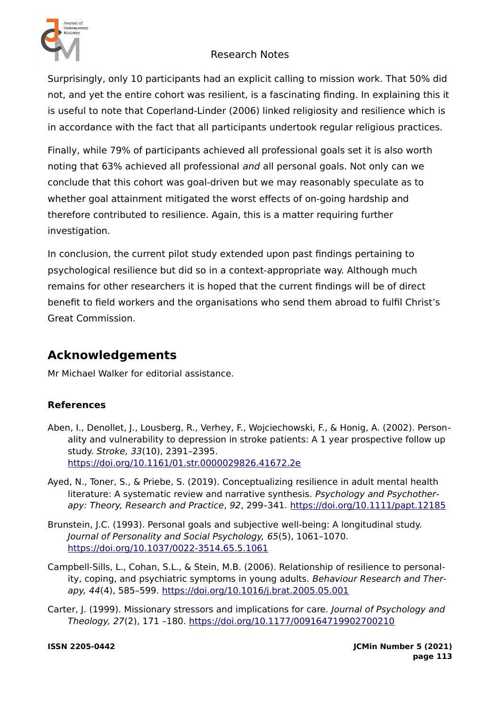

Surprisingly, only 10 participants had an explicit calling to mission work. That 50% did not, and yet the entire cohort was resilient, is a fascinating finding. In explaining this it is useful to note that Coperland-Linder (2006) linked religiosity and resilience which is in accordance with the fact that all participants undertook regular religious practices.

Finally, while 79% of participants achieved all professional goals set it is also worth noting that 63% achieved all professional *and* all personal goals. Not only can we conclude that this cohort was goal-driven but we may reasonably speculate as to whether goal attainment mitigated the worst effects of on-going hardship and therefore contributed to resilience. Again, this is a matter requiring further investigation.

In conclusion, the current pilot study extended upon past findings pertaining to psychological resilience but did so in a context-appropriate way. Although much remains for other researchers it is hoped that the current findings will be of direct benefit to field workers and the organisations who send them abroad to fulfil Christ's Great Commission.

# **Acknowledgements**

Mr Michael Walker for editorial assistance.

### **References**

- Aben, I., Denollet, J., Lousberg, R., Verhey, F., Wojciechowski, F., & Honig, A. (2002). Personality and vulnerability to depression in stroke patients: A 1 year prospective follow up study. Stroke, 33(10), 2391–2395. <https://doi.org/10.1161/01.str.0000029826.41672.2e>
- Ayed, N., Toner, S., & Priebe, S. (2019). Conceptualizing resilience in adult mental health literature: A systematic review and narrative synthesis. Psychology and Psychotherapy: Theory, Research and Practice, 92, 299–341.<https://doi.org/10.1111/papt.12185>
- Brunstein, J.C. (1993). Personal goals and subjective well-being: A longitudinal study. Journal of Personality and Social Psychology, 65(5), 1061–1070. <https://doi.org/10.1037/0022-3514.65.5.1061>
- Campbell-Sills, L., Cohan, S.L., & Stein, M.B. (2006). Relationship of resilience to personality, coping, and psychiatric symptoms in young adults. Behaviour Research and Therapy, 44(4), 585–599. <https://doi.org/10.1016/j.brat.2005.05.001>
- Carter, J. (1999). Missionary stressors and implications for care. Journal of Psychology and Theology, 27(2), 171 –180.<https://doi.org/10.1177/009164719902700210>

**ISSN 2205-0442 JCMin Number 5 (2021) page 113**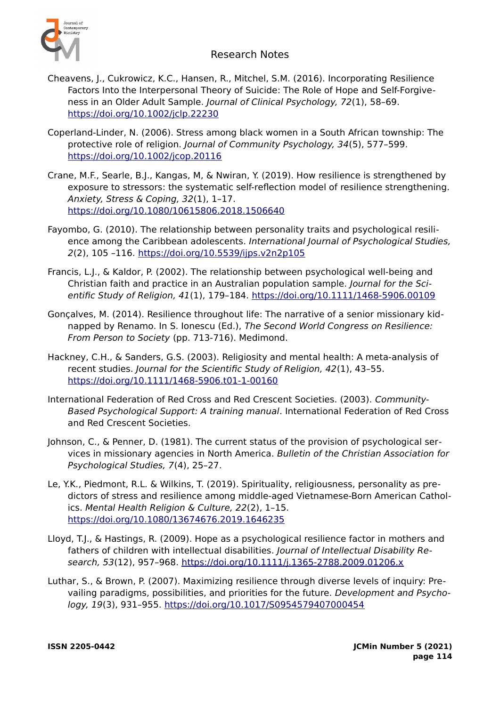

- Cheavens, J., Cukrowicz, K.C., Hansen, R., Mitchel, S.M. (2016). Incorporating Resilience Factors Into the Interpersonal Theory of Suicide: The Role of Hope and Self-Forgiveness in an Older Adult Sample. Journal of Clinical Psychology, 72(1), 58–69. <https://doi.org/10.1002/jclp.22230>
- Coperland-Linder, N. (2006). Stress among black women in a South African township: The protective role of religion. Journal of Community Psychology, 34(5), 577–599. <https://doi.org/10.1002/jcop.20116>
- Crane, M.F., Searle, B.J., Kangas, M, & Nwiran, Y. (2019). How resilience is strengthened by exposure to stressors: the systematic self-reflection model of resilience strengthening. Anxiety, Stress & Coping, 32(1), 1–17. <https://doi.org/10.1080/10615806.2018.1506640>
- Fayombo, G. (2010). The relationship between personality traits and psychological resilience among the Caribbean adolescents. International Journal of Psychological Studies, 2(2), 105 –116.<https://doi.org/10.5539/ijps.v2n2p105>
- Francis, L.J., & Kaldor, P. (2002). The relationship between psychological well-being and Christian faith and practice in an Australian population sample. Journal for the Scientific Study of Religion, 41(1), 179–184. <https://doi.org/10.1111/1468-5906.00109>
- Gonçalves, M. (2014). Resilience throughout life: The narrative of a senior missionary kidnapped by Renamo. In S. Ionescu (Ed.), The Second World Congress on Resilience: From Person to Society (pp. 713-716). Medimond.
- Hackney, C.H., & Sanders, G.S. (2003). Religiosity and mental health: A meta-analysis of recent studies. Journal for the Scientific Study of Religion, 42(1), 43–55. <https://doi.org/10.1111/1468-5906.t01-1-00160>
- International Federation of Red Cross and Red Crescent Societies. (2003). Community-Based Psychological Support: A training manual. International Federation of Red Cross and Red Crescent Societies.
- Johnson, C., & Penner, D. (1981). The current status of the provision of psychological services in missionary agencies in North America. Bulletin of the Christian Association for Psychological Studies, 7(4), 25–27.
- Le, Y.K., Piedmont, R.L. & Wilkins, T. (2019). Spirituality, religiousness, personality as predictors of stress and resilience among middle-aged Vietnamese-Born American Catholics. Mental Health Religion & Culture, 22(2), 1–15. <https://doi.org/10.1080/13674676.2019.1646235>
- Lloyd, T.J., & Hastings, R. (2009). Hope as a psychological resilience factor in mothers and fathers of children with intellectual disabilities. Journal of Intellectual Disability Research, 53(12), 957–968.<https://doi.org/10.1111/j.1365-2788.2009.01206.x>
- Luthar, S., & Brown, P. (2007). Maximizing resilience through diverse levels of inquiry: Prevailing paradigms, possibilities, and priorities for the future. Development and Psychology, 19(3), 931–955. <https://doi.org/10.1017/S0954579407000454>